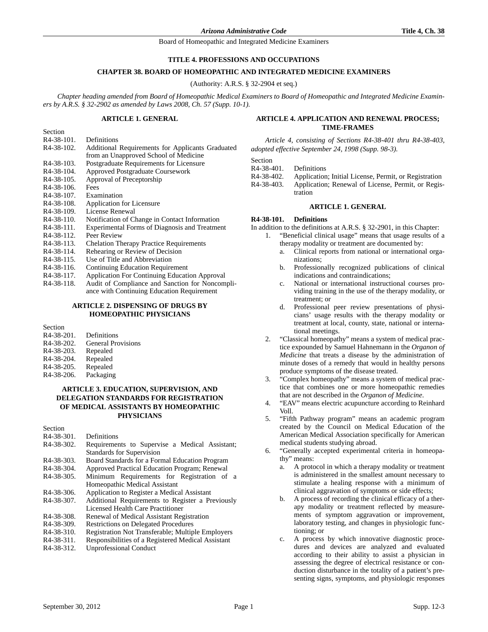## **TITLE 4. PROFESSIONS AND OCCUPATIONS**

### **CHAPTER 38. BOARD OF HOMEOPATHIC AND INTEGRATED MEDICINE EXAMINERS**

(Authority: A.R.S. § 32-2904 et seq.)

*Chapter heading amended from Board of Homeopathic Medical Examiners to Board of Homeopathic and Integrated Medicine Examiners by A.R.S. § 32-2902 as amended by Laws 2008, Ch. 57 (Supp. 10-1).*

#### **ARTICLE 1. GENERAL**

| ,,,,,,,,,,              |                                                      |
|-------------------------|------------------------------------------------------|
| R <sub>4</sub> -38-101. | Definitions                                          |
| R <sub>4</sub> -38-102. | Additional Requirements for Applicants Graduated     |
|                         | from an Unapproved School of Medicine                |
| R4-38-103.              | Postgraduate Requirements for Licensure              |
| R <sub>4</sub> -38-104. | Approved Postgraduate Coursework                     |
| R <sub>4</sub> -38-105. | Approval of Preceptorship                            |
| R <sub>4</sub> -38-106. | Fees                                                 |
| R4-38-107.              | Examination                                          |
| R4-38-108.              | Application for Licensure                            |
| R <sub>4</sub> -38-109. | License Renewal                                      |
| R <sub>4</sub> -38-110. | Notification of Change in Contact Information        |
| R4-38-111.              | Experimental Forms of Diagnosis and Treatment        |
| R4-38-112.              | Peer Review                                          |
| R4-38-113.              | <b>Chelation Therapy Practice Requirements</b>       |
| R4-38-114.              | Rehearing or Review of Decision                      |
| R <sub>4</sub> -38-115. | Use of Title and Abbreviation                        |
| R <sub>4</sub> -38-116. | <b>Continuing Education Requirement</b>              |
| R <sub>4</sub> -38-117. | <b>Application For Continuing Education Approval</b> |
| R <sub>4</sub> -38-118. | Audit of Compliance and Sanction for Noncompli-      |
|                         | ance with Continuing Education Requirement           |

## **ARTICLE 2. DISPENSING OF DRUGS BY HOMEOPATHIC PHYSICIANS**

| Section                 |                           |
|-------------------------|---------------------------|
| R4-38-201.              | Definitions               |
| R4-38-202.              | <b>General Provisions</b> |
| R4-38-203.              | Repealed                  |
| R4-38-204.              | Repealed                  |
| R <sub>4</sub> -38-205. | Repealed                  |
| R <sub>4</sub> -38-206. | Packaging                 |
|                         |                           |

## **ARTICLE 3. EDUCATION, SUPERVISION, AND DELEGATION STANDARDS FOR REGISTRATION OF MEDICAL ASSISTANTS BY HOMEOPATHIC PHYSICIANS**

Section

Section

- R4-38-301. Definitions R4-38-302. Requirements to Supervise a Medical Assistant; Standards for Supervision R4-38-303. Board Standards for a Formal Education Program R4-38-304. Approved Practical Education Program; Renewal R4-38-305. Minimum Requirements for Registration of a Homeopathic Medical Assistant R4-38-306. Application to Register a Medical Assistant R4-38-307. Additional Requirements to Register a Previously Licensed Health Care Practitioner R4-38-308. Renewal of Medical Assistant Registration R4-38-309. Restrictions on Delegated Procedures<br>R4-38-310. Registration Not Transferable; Multip Registration Not Transferable; Multiple Employers R4-38-311. Responsibilities of a Registered Medical Assistant R4-38-312. Unprofessional Conduct
- Unprofessional Conduct

## **ARTICLE 4. APPLICATION AND RENEWAL PROCESS; TIME-FRAMES**

*Article 4, consisting of Sections R4-38-401 thru R4-38-403, adopted effective September 24, 1998 (Supp. 98-3).*

Section

R4-38-401. Definitions

- R4-38-402. Application; Initial License, Permit, or Registration
- R4-38-403. Application; Renewal of License, Permit, or Registration

#### **ARTICLE 1. GENERAL**

#### **R4-38-101. Definitions**

In addition to the definitions at A.R.S. § 32-2901, in this Chapter:

- 1. "Beneficial clinical usage" means that usage results of a therapy modality or treatment are documented by:
	- a. Clinical reports from national or international organizations;
	- b. Professionally recognized publications of clinical indications and contraindications;
	- c. National or international instructional courses providing training in the use of the therapy modality, or treatment; or
	- d. Professional peer review presentations of physicians' usage results with the therapy modality or treatment at local, county, state, national or international meetings.
- 2. "Classical homeopathy" means a system of medical practice expounded by Samuel Hahnemann in the *Organon of Medicine* that treats a disease by the administration of minute doses of a remedy that would in healthy persons produce symptoms of the disease treated.
- 3. "Complex homeopathy" means a system of medical practice that combines one or more homeopathic remedies that are not described in the *Organon of Medicine*.
- 4. "EAV" means electric acupuncture according to Reinhard Voll.
- 5. "Fifth Pathway program" means an academic program created by the Council on Medical Education of the American Medical Association specifically for American medical students studying abroad.
- "Generally accepted experimental criteria in homeopathy" means:
	- a. A protocol in which a therapy modality or treatment is administered in the smallest amount necessary to stimulate a healing response with a minimum of clinical aggravation of symptoms or side effects;
	- b. A process of recording the clinical efficacy of a therapy modality or treatment reflected by measurements of symptom aggravation or improvement, laboratory testing, and changes in physiologic functioning; or
	- c. A process by which innovative diagnostic procedures and devices are analyzed and evaluated according to their ability to assist a physician in assessing the degree of electrical resistance or conduction disturbance in the totality of a patient's presenting signs, symptoms, and physiologic responses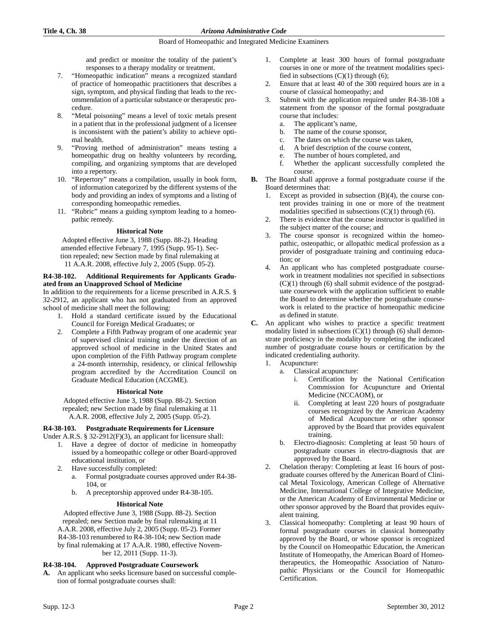and predict or monitor the totality of the patient's responses to a therapy modality or treatment.

- 7. "Homeopathic indication" means a recognized standard of practice of homeopathic practitioners that describes a sign, symptom, and physical finding that leads to the recommendation of a particular substance or therapeutic procedure.
- 8. "Metal poisoning" means a level of toxic metals present in a patient that in the professional judgment of a licensee is inconsistent with the patient's ability to achieve optimal health.
- 9. "Proving method of administration" means testing a homeopathic drug on healthy volunteers by recording, compiling, and organizing symptoms that are developed into a repertory.
- 10. "Repertory" means a compilation, usually in book form, of information categorized by the different systems of the body and providing an index of symptoms and a listing of corresponding homeopathic remedies.
- 11. "Rubric" means a guiding symptom leading to a homeopathic remedy.

## **Historical Note**

Adopted effective June 3, 1988 (Supp. 88-2). Heading amended effective February 7, 1995 (Supp. 95-1). Section repealed; new Section made by final rulemaking at 11 A.A.R. 2008, effective July 2, 2005 (Supp. 05-2).

## **R4-38-102. Additional Requirements for Applicants Graduated from an Unapproved School of Medicine**

In addition to the requirements for a license prescribed in A.R.S. § 32-2912, an applicant who has not graduated from an approved school of medicine shall meet the following:

- 1. Hold a standard certificate issued by the Educational Council for Foreign Medical Graduates; or
- 2. Complete a Fifth Pathway program of one academic year of supervised clinical training under the direction of an approved school of medicine in the United States and upon completion of the Fifth Pathway program complete a 24-month internship, residency, or clinical fellowship program accredited by the Accreditation Council on Graduate Medical Education (ACGME).

## **Historical Note**

Adopted effective June 3, 1988 (Supp. 88-2). Section repealed; new Section made by final rulemaking at 11 A.A.R. 2008, effective July 2, 2005 (Supp. 05-2).

## **R4-38-103. Postgraduate Requirements for Licensure**

Under A.R.S. § 32-2912(F)(3), an applicant for licensure shall:

- 1. Have a degree of doctor of medicine in homeopathy issued by a homeopathic college or other Board-approved educational institution, or
- 2. Have successfully completed:
	- a. Formal postgraduate courses approved under R4-38- 104, or
	- b. A preceptorship approved under R4-38-105.

## **Historical Note**

Adopted effective June 3, 1988 (Supp. 88-2). Section repealed; new Section made by final rulemaking at 11 A.A.R. 2008, effective July 2, 2005 (Supp. 05-2). Former R4-38-103 renumbered to R4-38-104; new Section made by final rulemaking at 17 A.A.R. 1980, effective November 12, 2011 (Supp. 11-3).

## **R4-38-104. Approved Postgraduate Coursework**

**A.** An applicant who seeks licensure based on successful completion of formal postgraduate courses shall:

- 1. Complete at least 300 hours of formal postgraduate courses in one or more of the treatment modalities specified in subsections  $(C)(1)$  through  $(6)$ ;
- 2. Ensure that at least 40 of the 300 required hours are in a course of classical homeopathy; and
- 3. Submit with the application required under R4-38-108 a statement from the sponsor of the formal postgraduate course that includes:
	- a. The applicant's name,
	- b. The name of the course sponsor,
	- c. The dates on which the course was taken,
	- d. A brief description of the course content,
	- e. The number of hours completed, and
	- f. Whether the applicant successfully completed the course.
- **B.** The Board shall approve a formal postgraduate course if the Board determines that:
	- Except as provided in subsection  $(B)(4)$ , the course content provides training in one or more of the treatment modalities specified in subsections  $(C)(1)$  through  $(6)$ .
	- 2. There is evidence that the course instructor is qualified in the subject matter of the course; and
	- 3. The course sponsor is recognized within the homeopathic, osteopathic, or allopathic medical profession as a provider of postgraduate training and continuing education; or
	- 4. An applicant who has completed postgraduate coursework in treatment modalities not specified in subsections  $(C)(1)$  through  $(6)$  shall submit evidence of the postgraduate coursework with the application sufficient to enable the Board to determine whether the postgraduate coursework is related to the practice of homeopathic medicine as defined in statute.
- **C.** An applicant who wishes to practice a specific treatment modality listed in subsections  $(\overline{C})(1)$  through (6) shall demonstrate proficiency in the modality by completing the indicated number of postgraduate course hours or certification by the indicated credentialing authority.
	- 1. Acupuncture:
		- a. Classical acupuncture:
			- i. Certification by the National Certification Commission for Acupuncture and Oriental Medicine (NCCAOM), or
			- ii. Completing at least 220 hours of postgraduate courses recognized by the American Academy of Medical Acupuncture or other sponsor approved by the Board that provides equivalent training.
		- b. Electro-diagnosis: Completing at least 50 hours of postgraduate courses in electro-diagnosis that are approved by the Board.
	- 2. Chelation therapy: Completing at least 16 hours of postgraduate courses offered by the American Board of Clinical Metal Toxicology, American College of Alternative Medicine, International College of Integrative Medicine, or the American Academy of Environmental Medicine or other sponsor approved by the Board that provides equivalent training.
	- 3. Classical homeopathy: Completing at least 90 hours of formal postgraduate courses in classical homeopathy approved by the Board, or whose sponsor is recognized by the Council on Homeopathic Education, the American Institute of Homeopathy, the American Board of Homeotherapeutics, the Homeopathic Association of Naturopathic Physicians or the Council for Homeopathic Certification.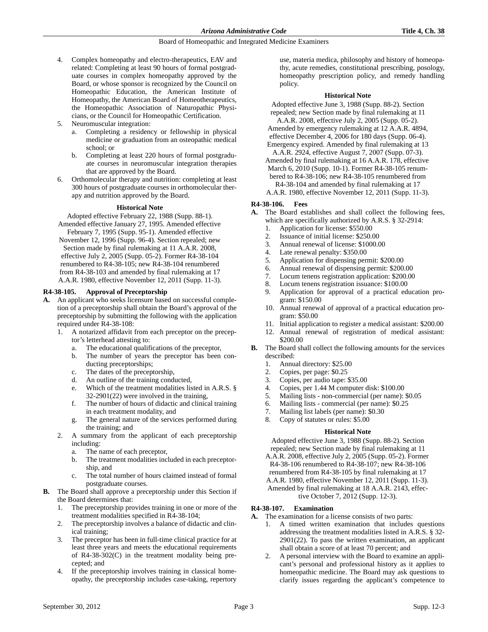- 4. Complex homeopathy and electro-therapeutics, EAV and related: Completing at least 90 hours of formal postgraduate courses in complex homeopathy approved by the Board, or whose sponsor is recognized by the Council on Homeopathic Education, the American Institute of Homeopathy, the American Board of Homeotherapeutics, the Homeopathic Association of Naturopathic Physicians, or the Council for Homeopathic Certification.
- Neuromuscular integration:
	- a. Completing a residency or fellowship in physical medicine or graduation from an osteopathic medical school; or
	- b. Completing at least 220 hours of formal postgraduate courses in neuromuscular integration therapies that are approved by the Board.
- 6. Orthomolecular therapy and nutrition: completing at least 300 hours of postgraduate courses in orthomolecular therapy and nutrition approved by the Board.

#### **Historical Note**

Adopted effective February 22, 1988 (Supp. 88-1). Amended effective January 27, 1995. Amended effective

February 7, 1995 (Supp. 95-1). Amended effective November 12, 1996 (Supp. 96-4). Section repealed; new Section made by final rulemaking at 11 A.A.R. 2008, effective July 2, 2005 (Supp. 05-2). Former R4-38-104 renumbered to R4-38-105; new R4-38-104 renumbered from R4-38-103 and amended by final rulemaking at 17 A.A.R. 1980, effective November 12, 2011 (Supp. 11-3).

#### **R4-38-105. Approval of Preceptorship**

- **A.** An applicant who seeks licensure based on successful completion of a preceptorship shall obtain the Board's approval of the preceptorship by submitting the following with the application required under R4-38-108:
	- 1. A notarized affidavit from each preceptor on the preceptor's letterhead attesting to:
		- a. The educational qualifications of the preceptor,
		- b. The number of years the preceptor has been conducting preceptorships;
		- c. The dates of the preceptorship,
		- d. An outline of the training conducted,
		- e. Which of the treatment modalities listed in A.R.S. § 32-2901(22) were involved in the training,
		- f. The number of hours of didactic and clinical training in each treatment modality, and
		- g. The general nature of the services performed during the training; and
	- 2. A summary from the applicant of each preceptorship including:
		- a. The name of each preceptor,
		- b. The treatment modalities included in each preceptorship, and
		- c. The total number of hours claimed instead of formal postgraduate courses.
- **B.** The Board shall approve a preceptorship under this Section if the Board determines that:
	- 1. The preceptorship provides training in one or more of the treatment modalities specified in R4-38-104;
	- 2. The preceptorship involves a balance of didactic and clinical training;
	- 3. The preceptor has been in full-time clinical practice for at least three years and meets the educational requirements of R4-38-302(C) in the treatment modality being precepted; and
	- 4. If the preceptorship involves training in classical homeopathy, the preceptorship includes case-taking, repertory

use, materia medica, philosophy and history of homeopathy, acute remedies, constitutional prescribing, posology, homeopathy prescription policy, and remedy handling policy.

#### **Historical Note**

Adopted effective June 3, 1988 (Supp. 88-2). Section repealed; new Section made by final rulemaking at 11

- A.A.R. 2008, effective July 2, 2005 (Supp. 05-2). Amended by emergency rulemaking at 12 A.A.R. 4894, effective December 4, 2006 for 180 days (Supp. 06-4).
- Emergency expired. Amended by final rulemaking at 13 A.A.R. 2924, effective August 7, 2007 (Supp. 07-3).
- Amended by final rulemaking at 16 A.A.R. 178, effective March 6, 2010 (Supp. 10-1). Former R4-38-105 renum-
- bered to R4-38-106; new R4-38-105 renumbered from R4-38-104 and amended by final rulemaking at 17

A.A.R. 1980, effective November 12, 2011 (Supp. 11-3).

## **R4-38-106. Fees**

- **A.** The Board establishes and shall collect the following fees, which are specifically authorized by A.R.S. § 32-2914:
	- 1. Application for license: \$550.00
	- 2. Issuance of initial license: \$250.00
	- 3. Annual renewal of license: \$1000.00
	- 4. Late renewal penalty: \$350.00
	- 5. Application for dispensing permit: \$200.00
	- 6. Annual renewal of dispensing permit: \$200.00
	- 7. Locum tenens registration application: \$200.00
	- 8. Locum tenens registration issuance: \$100.00
	- 9. Application for approval of a practical education program: \$150.00
	- 10. Annual renewal of approval of a practical education program: \$50.00
	- 11. Initial application to register a medical assistant: \$200.00
	- 12. Annual renewal of registration of medical assistant: \$200.00
- **B.** The Board shall collect the following amounts for the services described:
	- 1. Annual directory: \$25.00
	- 2. Copies, per page: \$0.25
	- 3. Copies, per audio tape: \$35.00
	- 4. Copies, per 1.44 M computer disk: \$100.00
	- 5. Mailing lists non-commercial (per name): \$0.05
	- 6. Mailing lists commercial (per name): \$0.25
	- 7. Mailing list labels (per name): \$0.30
	- 8. Copy of statutes or rules: \$5.00

#### **Historical Note**

Adopted effective June 3, 1988 (Supp. 88-2). Section repealed; new Section made by final rulemaking at 11

- A.A.R. 2008, effective July 2, 2005 (Supp. 05-2). Former R4-38-106 renumbered to R4-38-107; new R4-38-106 renumbered from R4-38-105 by final rulemaking at 17
- A.A.R. 1980, effective November 12, 2011 (Supp. 11-3).
- Amended by final rulemaking at 18 A.A.R. 2143, effective October 7, 2012 (Supp. 12-3).

## **R4-38-107. Examination**

- **A.** The examination for a license consists of two parts:
	- 1. A timed written examination that includes questions addressing the treatment modalities listed in A.R.S. § 32- 2901(22). To pass the written examination, an applicant shall obtain a score of at least 70 percent; and
	- 2. A personal interview with the Board to examine an applicant's personal and professional history as it applies to homeopathic medicine. The Board may ask questions to clarify issues regarding the applicant's competence to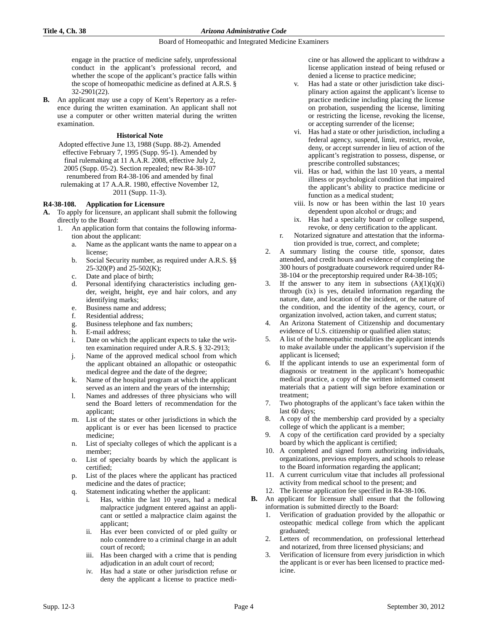engage in the practice of medicine safely, unprofessional conduct in the applicant's professional record, and whether the scope of the applicant's practice falls within the scope of homeopathic medicine as defined at A.R.S. § 32-2901(22).

**B.** An applicant may use a copy of Kent's Repertory as a reference during the written examination. An applicant shall not use a computer or other written material during the written examination.

## **Historical Note**

Adopted effective June 13, 1988 (Supp. 88-2). Amended effective February 7, 1995 (Supp. 95-1). Amended by final rulemaking at 11 A.A.R. 2008, effective July 2, 2005 (Supp. 05-2). Section repealed; new R4-38-107 renumbered from R4-38-106 and amended by final rulemaking at 17 A.A.R. 1980, effective November 12, 2011 (Supp. 11-3).

#### **R4-38-108. Application for Licensure**

- **A.** To apply for licensure, an applicant shall submit the following directly to the Board:
	- 1. An application form that contains the following information about the applicant:
		- a. Name as the applicant wants the name to appear on a license;
		- b. Social Security number, as required under A.R.S. §§ 25-320(P) and 25-502(K);
		- c. Date and place of birth;
		- d. Personal identifying characteristics including gender, weight, height, eye and hair colors, and any identifying marks;
		- e. Business name and address;
		- f. Residential address;
		- g. Business telephone and fax numbers;
		- h. E-mail address;
		- i. Date on which the applicant expects to take the written examination required under A.R.S. § 32-2913;
		- j. Name of the approved medical school from which the applicant obtained an allopathic or osteopathic medical degree and the date of the degree;
		- k. Name of the hospital program at which the applicant served as an intern and the years of the internship;
		- l. Names and addresses of three physicians who will send the Board letters of recommendation for the applicant;
		- m. List of the states or other jurisdictions in which the applicant is or ever has been licensed to practice medicine;
		- n. List of specialty colleges of which the applicant is a member;
		- o. List of specialty boards by which the applicant is certified;
		- p. List of the places where the applicant has practiced medicine and the dates of practice;
		- Statement indicating whether the applicant:
			- i. Has, within the last 10 years, had a medical malpractice judgment entered against an applicant or settled a malpractice claim against the applicant;
			- ii. Has ever been convicted of or pled guilty or nolo contendere to a criminal charge in an adult court of record;
			- iii. Has been charged with a crime that is pending adjudication in an adult court of record;
			- iv. Has had a state or other jurisdiction refuse or deny the applicant a license to practice medi-

cine or has allowed the applicant to withdraw a license application instead of being refused or denied a license to practice medicine;

- Has had a state or other jurisdiction take disciplinary action against the applicant's license to practice medicine including placing the license on probation, suspending the license, limiting or restricting the license, revoking the license, or accepting surrender of the license;
- vi. Has had a state or other jurisdiction, including a federal agency, suspend, limit, restrict, revoke, deny, or accept surrender in lieu of action of the applicant's registration to possess, dispense, or prescribe controlled substances;
- vii. Has or had, within the last 10 years, a mental illness or psychological condition that impaired the applicant's ability to practice medicine or function as a medical student;
- viii. Is now or has been within the last 10 years dependent upon alcohol or drugs; and
- ix. Has had a specialty board or college suspend, revoke, or deny certification to the applicant.
- r. Notarized signature and attestation that the information provided is true, correct, and complete;
- 2. A summary listing the course title, sponsor, dates attended, and credit hours and evidence of completing the 300 hours of postgraduate coursework required under R4- 38-104 or the preceptorship required under R4-38-105;
- 3. If the answer to any item in subsections  $(A)(1)(q)(i)$ through (ix) is yes, detailed information regarding the nature, date, and location of the incident, or the nature of the condition, and the identity of the agency, court, or organization involved, action taken, and current status;
- 4. An Arizona Statement of Citizenship and documentary evidence of U.S. citizenship or qualified alien status;
- 5. A list of the homeopathic modalities the applicant intends to make available under the applicant's supervision if the applicant is licensed;
- 6. If the applicant intends to use an experimental form of diagnosis or treatment in the applicant's homeopathic medical practice, a copy of the written informed consent materials that a patient will sign before examination or treatment;
- 7. Two photographs of the applicant's face taken within the last 60 days;
- 8. A copy of the membership card provided by a specialty college of which the applicant is a member;
- 9. A copy of the certification card provided by a specialty board by which the applicant is certified;
- 10. A completed and signed form authorizing individuals, organizations, previous employers, and schools to release to the Board information regarding the applicant;
- 11. A current curriculum vitae that includes all professional activity from medical school to the present; and
- The license application fee specified in R4-38-106.
- **B.** An applicant for licensure shall ensure that the following information is submitted directly to the Board:
	- 1. Verification of graduation provided by the allopathic or osteopathic medical college from which the applicant graduated;
	- 2. Letters of recommendation, on professional letterhead and notarized, from three licensed physicians; and
	- 3. Verification of licensure from every jurisdiction in which the applicant is or ever has been licensed to practice medicine.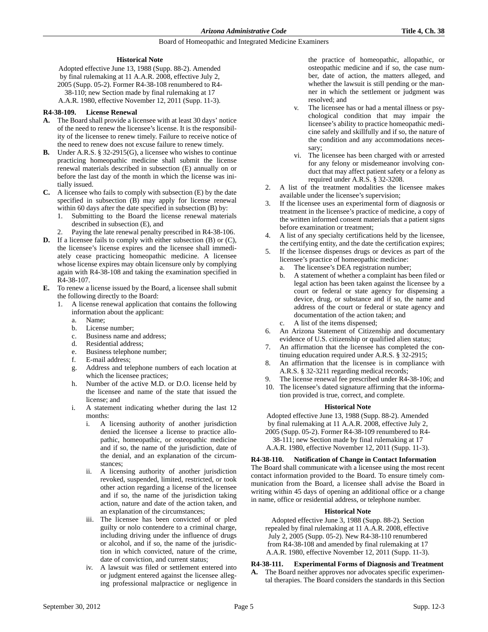## **Historical Note**

Adopted effective June 13, 1988 (Supp. 88-2). Amended by final rulemaking at 11 A.A.R. 2008, effective July 2, 2005 (Supp. 05-2). Former R4-38-108 renumbered to R4- 38-110; new Section made by final rulemaking at 17 A.A.R. 1980, effective November 12, 2011 (Supp. 11-3).

## **R4-38-109. License Renewal**

- **A.** The Board shall provide a licensee with at least 30 days' notice of the need to renew the licensee's license. It is the responsibility of the licensee to renew timely. Failure to receive notice of the need to renew does not excuse failure to renew timely.
- **B.** Under A.R.S. § 32-2915(G), a licensee who wishes to continue practicing homeopathic medicine shall submit the license renewal materials described in subsection (E) annually on or before the last day of the month in which the license was initially issued.
- **C.** A licensee who fails to comply with subsection (E) by the date specified in subsection (B) may apply for license renewal within 60 days after the date specified in subsection (B) by:
	- 1. Submitting to the Board the license renewal materials described in subsection (E), and
	- 2. Paying the late renewal penalty prescribed in R4-38-106.
- **D.** If a licensee fails to comply with either subsection (B) or (C), the licensee's license expires and the licensee shall immediately cease practicing homeopathic medicine. A licensee whose license expires may obtain licensure only by complying again with R4-38-108 and taking the examination specified in R4-38-107.
- **E.** To renew a license issued by the Board, a licensee shall submit the following directly to the Board:
	- 1. A license renewal application that contains the following information about the applicant:
		- a. Name;
		- b. License number;
		- c. Business name and address;
		- d. Residential address;
		- e. Business telephone number;
		- f. E-mail address;
		- g. Address and telephone numbers of each location at which the licensee practices;
		- h. Number of the active M.D. or D.O. license held by the licensee and name of the state that issued the license; and
		- i. A statement indicating whether during the last 12 months:
			- i. A licensing authority of another jurisdiction denied the licensee a license to practice allopathic, homeopathic, or osteopathic medicine and if so, the name of the jurisdiction, date of the denial, and an explanation of the circumstances;
			- ii. A licensing authority of another jurisdiction revoked, suspended, limited, restricted, or took other action regarding a license of the licensee and if so, the name of the jurisdiction taking action, nature and date of the action taken, and an explanation of the circumstances;
			- iii. The licensee has been convicted of or pled guilty or nolo contendere to a criminal charge, including driving under the influence of drugs or alcohol, and if so, the name of the jurisdiction in which convicted, nature of the crime, date of conviction, and current status;
			- iv. A lawsuit was filed or settlement entered into or judgment entered against the licensee alleging professional malpractice or negligence in

the practice of homeopathic, allopathic, or osteopathic medicine and if so, the case number, date of action, the matters alleged, and whether the lawsuit is still pending or the manner in which the settlement or judgment was resolved; and

- v. The licensee has or had a mental illness or psychological condition that may impair the licensee's ability to practice homeopathic medicine safely and skillfully and if so, the nature of the condition and any accommodations necessary;
- vi. The licensee has been charged with or arrested for any felony or misdemeanor involving conduct that may affect patient safety or a felony as required under A.R.S. § 32-3208.
- 2. A list of the treatment modalities the licensee makes available under the licensee's supervision;
- 3. If the licensee uses an experimental form of diagnosis or treatment in the licensee's practice of medicine, a copy of the written informed consent materials that a patient signs before examination or treatment;
- 4. A list of any specialty certifications held by the licensee, the certifying entity, and the date the certification expires;
- 5. If the licensee dispenses drugs or devices as part of the licensee's practice of homeopathic medicine:
	- a. The licensee's DEA registration number;
	- b. A statement of whether a complaint has been filed or legal action has been taken against the licensee by a court or federal or state agency for dispensing a device, drug, or substance and if so, the name and address of the court or federal or state agency and documentation of the action taken; and
	- c. A list of the items dispensed;
- 6. An Arizona Statement of Citizenship and documentary evidence of U.S. citizenship or qualified alien status;
- 7. An affirmation that the licensee has completed the continuing education required under A.R.S. § 32-2915;
- 8. An affirmation that the licensee is in compliance with A.R.S. § 32-3211 regarding medical records;
- 9. The license renewal fee prescribed under R4-38-106; and
- 10. The licensee's dated signature affirming that the information provided is true, correct, and complete.

## **Historical Note**

Adopted effective June 13, 1988 (Supp. 88-2). Amended by final rulemaking at 11 A.A.R. 2008, effective July 2, 2005 (Supp. 05-2). Former R4-38-109 renumbered to R4- 38-111; new Section made by final rulemaking at 17 A.A.R. 1980, effective November 12, 2011 (Supp. 11-3).

**R4-38-110. Notification of Change in Contact Information** The Board shall communicate with a licensee using the most recent contact information provided to the Board. To ensure timely communication from the Board, a licensee shall advise the Board in writing within 45 days of opening an additional office or a change in name, office or residential address, or telephone number.

#### **Historical Note**

Adopted effective June 3, 1988 (Supp. 88-2). Section repealed by final rulemaking at 11 A.A.R. 2008, effective July 2, 2005 (Supp. 05-2). New R4-38-110 renumbered from R4-38-108 and amended by final rulemaking at 17 A.A.R. 1980, effective November 12, 2011 (Supp. 11-3).

## **R4-38-111. Experimental Forms of Diagnosis and Treatment**

**A.** The Board neither approves nor advocates specific experimental therapies. The Board considers the standards in this Section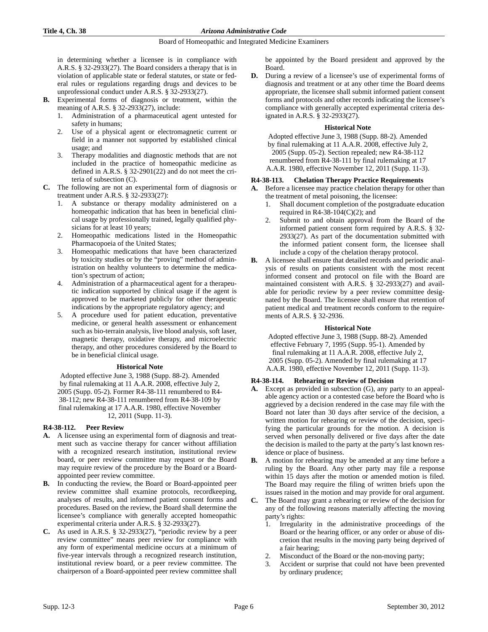in determining whether a licensee is in compliance with A.R.S. § 32-2933(27). The Board considers a therapy that is in violation of applicable state or federal statutes, or state or federal rules or regulations regarding drugs and devices to be unprofessional conduct under A.R.S. § 32-2933(27).

- **B.** Experimental forms of diagnosis or treatment, within the meaning of A.R.S. § 32-2933(27), include:
	- 1. Administration of a pharmaceutical agent untested for safety in humans;
	- 2. Use of a physical agent or electromagnetic current or field in a manner not supported by established clinical usage; and
	- Therapy modalities and diagnostic methods that are not included in the practice of homeopathic medicine as defined in A.R.S. § 32-2901(22) and do not meet the criteria of subsection (C).
- **C.** The following are not an experimental form of diagnosis or treatment under A.R.S. § 32-2933(27):
	- 1. A substance or therapy modality administered on a homeopathic indication that has been in beneficial clinical usage by professionally trained, legally qualified physicians for at least 10 years;
	- 2. Homeopathic medications listed in the Homeopathic Pharmacopoeia of the United States;
	- 3. Homeopathic medications that have been characterized by toxicity studies or by the "proving" method of administration on healthy volunteers to determine the medication's spectrum of action;
	- 4. Administration of a pharmaceutical agent for a therapeutic indication supported by clinical usage if the agent is approved to be marketed publicly for other therapeutic indications by the appropriate regulatory agency; and
	- 5. A procedure used for patient education, preventative medicine, or general health assessment or enhancement such as bio-terrain analysis, live blood analysis, soft laser, magnetic therapy, oxidative therapy, and microelectric therapy, and other procedures considered by the Board to be in beneficial clinical usage.

#### **Historical Note**

Adopted effective June 3, 1988 (Supp. 88-2). Amended by final rulemaking at 11 A.A.R. 2008, effective July 2, 2005 (Supp. 05-2). Former R4-38-111 renumbered to R4- 38-112; new R4-38-111 renumbered from R4-38-109 by final rulemaking at 17 A.A.R. 1980, effective November 12, 2011 (Supp. 11-3).

#### **R4-38-112. Peer Review**

- **A.** A licensee using an experimental form of diagnosis and treatment such as vaccine therapy for cancer without affiliation with a recognized research institution, institutional review board, or peer review committee may request or the Board may require review of the procedure by the Board or a Boardappointed peer review committee.
- **B.** In conducting the review, the Board or Board-appointed peer review committee shall examine protocols, recordkeeping, analyses of results, and informed patient consent forms and procedures. Based on the review, the Board shall determine the licensee's compliance with generally accepted homeopathic experimental criteria under A.R.S. § 32-2933(27).
- **C.** As used in A.R.S. § 32-2933(27), "periodic review by a peer review committee" means peer review for compliance with any form of experimental medicine occurs at a minimum of five-year intervals through a recognized research institution, institutional review board, or a peer review committee. The chairperson of a Board-appointed peer review committee shall

be appointed by the Board president and approved by the Board.

**D.** During a review of a licensee's use of experimental forms of diagnosis and treatment or at any other time the Board deems appropriate, the licensee shall submit informed patient consent forms and protocols and other records indicating the licensee's compliance with generally accepted experimental criteria designated in A.R.S. § 32-2933(27).

#### **Historical Note**

Adopted effective June 3, 1988 (Supp. 88-2). Amended by final rulemaking at 11 A.A.R. 2008, effective July 2, 2005 (Supp. 05-2). Section repealed; new R4-38-112 renumbered from R4-38-111 by final rulemaking at 17 A.A.R. 1980, effective November 12, 2011 (Supp. 11-3).

#### **R4-38-113. Chelation Therapy Practice Requirements**

- **A.** Before a licensee may practice chelation therapy for other than the treatment of metal poisoning, the licensee:
	- 1. Shall document completion of the postgraduate education required in R4-38-104 $(C)(2)$ ; and
	- 2. Submit to and obtain approval from the Board of the informed patient consent form required by A.R.S. § 32- 2933(27). As part of the documentation submitted with the informed patient consent form, the licensee shall include a copy of the chelation therapy protocol.
- **B.** A licensee shall ensure that detailed records and periodic analysis of results on patients consistent with the most recent informed consent and protocol on file with the Board are maintained consistent with A.R.S. § 32-2933(27) and available for periodic review by a peer review committee designated by the Board. The licensee shall ensure that retention of patient medical and treatment records conform to the requirements of A.R.S. § 32-2936.

#### **Historical Note**

Adopted effective June 3, 1988 (Supp. 88-2). Amended effective February 7, 1995 (Supp. 95-1). Amended by final rulemaking at 11 A.A.R. 2008, effective July 2, 2005 (Supp. 05-2). Amended by final rulemaking at 17 A.A.R. 1980, effective November 12, 2011 (Supp. 11-3).

#### **R4-38-114. Rehearing or Review of Decision**

- **A.** Except as provided in subsection (G), any party to an appealable agency action or a contested case before the Board who is aggrieved by a decision rendered in the case may file with the Board not later than 30 days after service of the decision, a written motion for rehearing or review of the decision, specifying the particular grounds for the motion. A decision is served when personally delivered or five days after the date the decision is mailed to the party at the party's last known residence or place of business.
- **B.** A motion for rehearing may be amended at any time before a ruling by the Board. Any other party may file a response within 15 days after the motion or amended motion is filed. The Board may require the filing of written briefs upon the issues raised in the motion and may provide for oral argument.
- **C.** The Board may grant a rehearing or review of the decision for any of the following reasons materially affecting the moving party's rights:
	- 1. Irregularity in the administrative proceedings of the Board or the hearing officer, or any order or abuse of discretion that results in the moving party being deprived of a fair hearing;
	- 2. Misconduct of the Board or the non-moving party;
	- Accident or surprise that could not have been prevented by ordinary prudence;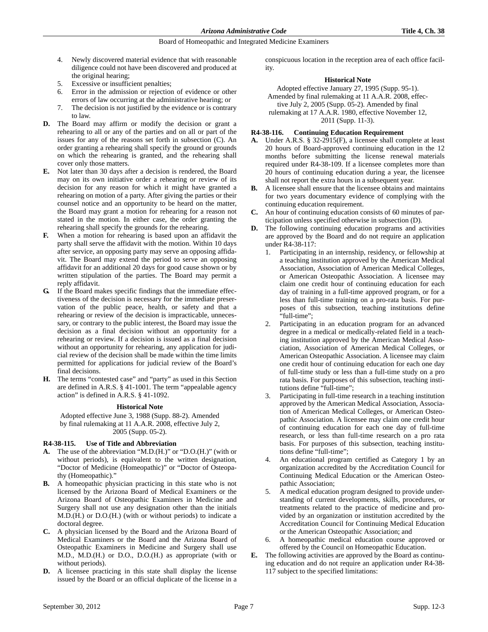- 4. Newly discovered material evidence that with reasonable diligence could not have been discovered and produced at the original hearing;
- 5. Excessive or insufficient penalties;
- 6. Error in the admission or rejection of evidence or other errors of law occurring at the administrative hearing; or
- 7. The decision is not justified by the evidence or is contrary to law.
- **D.** The Board may affirm or modify the decision or grant a rehearing to all or any of the parties and on all or part of the issues for any of the reasons set forth in subsection (C). An order granting a rehearing shall specify the ground or grounds on which the rehearing is granted, and the rehearing shall cover only those matters.
- **E.** Not later than 30 days after a decision is rendered, the Board may on its own initiative order a rehearing or review of its decision for any reason for which it might have granted a rehearing on motion of a party. After giving the parties or their counsel notice and an opportunity to be heard on the matter, the Board may grant a motion for rehearing for a reason not stated in the motion. In either case, the order granting the rehearing shall specify the grounds for the rehearing.
- **F.** When a motion for rehearing is based upon an affidavit the party shall serve the affidavit with the motion. Within 10 days after service, an opposing party may serve an opposing affidavit. The Board may extend the period to serve an opposing affidavit for an additional 20 days for good cause shown or by written stipulation of the parties. The Board may permit a reply affidavit.
- **G.** If the Board makes specific findings that the immediate effectiveness of the decision is necessary for the immediate preservation of the public peace, health, or safety and that a rehearing or review of the decision is impracticable, unnecessary, or contrary to the public interest, the Board may issue the decision as a final decision without an opportunity for a rehearing or review. If a decision is issued as a final decision without an opportunity for rehearing, any application for judicial review of the decision shall be made within the time limits permitted for applications for judicial review of the Board's final decisions.
- **H.** The terms "contested case" and "party" as used in this Section are defined in A.R.S. § 41-1001. The term "appealable agency action" is defined in A.R.S. § 41-1092.

#### **Historical Note**

Adopted effective June 3, 1988 (Supp. 88-2). Amended by final rulemaking at 11 A.A.R. 2008, effective July 2, 2005 (Supp. 05-2).

## **R4-38-115. Use of Title and Abbreviation**

- **A.** The use of the abbreviation "M.D.(H.)" or "D.O.(H.)" (with or without periods), is equivalent to the written designation, "Doctor of Medicine (Homeopathic)" or "Doctor of Osteopathy (Homeopathic)."
- **B.** A homeopathic physician practicing in this state who is not licensed by the Arizona Board of Medical Examiners or the Arizona Board of Osteopathic Examiners in Medicine and Surgery shall not use any designation other than the initials M.D.(H.) or D.O.(H.) (with or without periods) to indicate a doctoral degree.
- **C.** A physician licensed by the Board and the Arizona Board of Medical Examiners or the Board and the Arizona Board of Osteopathic Examiners in Medicine and Surgery shall use M.D., M.D.(H.) or D.O., D.O.(H.) as appropriate (with or without periods).
- **D.** A licensee practicing in this state shall display the license issued by the Board or an official duplicate of the license in a

conspicuous location in the reception area of each office facility.

#### **Historical Note**

Adopted effective January 27, 1995 (Supp. 95-1). Amended by final rulemaking at 11 A.A.R. 2008, effective July 2, 2005 (Supp. 05-2). Amended by final rulemaking at 17 A.A.R. 1980, effective November 12, 2011 (Supp. 11-3).

## **R4-38-116. Continuing Education Requirement**

- **A.** Under A.R.S. § 32-2915(F), a licensee shall complete at least 20 hours of Board-approved continuing education in the 12 months before submitting the license renewal materials required under R4-38-109. If a licensee completes more than 20 hours of continuing education during a year, the licensee shall not report the extra hours in a subsequent year.
- **B.** A licensee shall ensure that the licensee obtains and maintains for two years documentary evidence of complying with the continuing education requirement.
- **C.** An hour of continuing education consists of 60 minutes of participation unless specified otherwise in subsection (D).
- **D.** The following continuing education programs and activities are approved by the Board and do not require an application under R4-38-117:
	- 1. Participating in an internship, residency, or fellowship at a teaching institution approved by the American Medical Association, Association of American Medical Colleges, or American Osteopathic Association. A licensee may claim one credit hour of continuing education for each day of training in a full-time approved program, or for a less than full-time training on a pro-rata basis. For purposes of this subsection, teaching institutions define "full-time";
	- Participating in an education program for an advanced degree in a medical or medically-related field in a teaching institution approved by the American Medical Association, Association of American Medical Colleges, or American Osteopathic Association. A licensee may claim one credit hour of continuing education for each one day of full-time study or less than a full-time study on a pro rata basis. For purposes of this subsection, teaching institutions define "full-time";
	- 3. Participating in full-time research in a teaching institution approved by the American Medical Association, Association of American Medical Colleges, or American Osteopathic Association. A licensee may claim one credit hour of continuing education for each one day of full-time research, or less than full-time research on a pro rata basis. For purposes of this subsection, teaching institutions define "full-time";
	- 4. An educational program certified as Category 1 by an organization accredited by the Accreditation Council for Continuing Medical Education or the American Osteopathic Association;
	- 5. A medical education program designed to provide understanding of current developments, skills, procedures, or treatments related to the practice of medicine and provided by an organization or institution accredited by the Accreditation Council for Continuing Medical Education or the American Osteopathic Association; and
	- 6. A homeopathic medical education course approved or offered by the Council on Homeopathic Education.
- **E.** The following activities are approved by the Board as continuing education and do not require an application under R4-38- 117 subject to the specified limitations: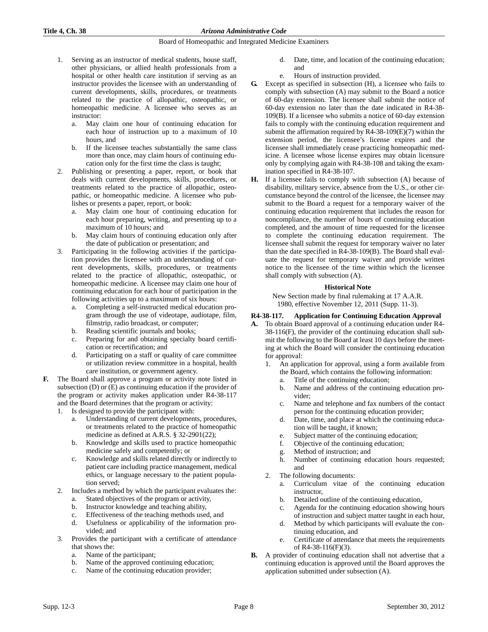- 1. Serving as an instructor of medical students, house staff, other physicians, or allied health professionals from a hospital or other health care institution if serving as an instructor provides the licensee with an understanding of current developments, skills, procedures, or treatments related to the practice of allopathic, osteopathic, or homeopathic medicine. A licensee who serves as an instructor:
	- a. May claim one hour of continuing education for each hour of instruction up to a maximum of 10 hours, and
	- b. If the licensee teaches substantially the same class more than once, may claim hours of continuing education only for the first time the class is taught;
- 2. Publishing or presenting a paper, report, or book that deals with current developments, skills, procedures, or treatments related to the practice of allopathic, osteopathic, or homeopathic medicine. A licensee who publishes or presents a paper, report, or book:
	- a. May claim one hour of continuing education for each hour preparing, writing, and presenting up to a maximum of 10 hours; and
	- b. May claim hours of continuing education only after the date of publication or presentation; and
- 3. Participating in the following activities if the participation provides the licensee with an understanding of current developments, skills, procedures, or treatments related to the practice of allopathic, osteopathic, or homeopathic medicine. A licensee may claim one hour of continuing education for each hour of participation in the following activities up to a maximum of six hours:
	- a. Completing a self-instructed medical education program through the use of videotape, audiotape, film, filmstrip, radio broadcast, or computer;
	- b. Reading scientific journals and books;
	- c. Preparing for and obtaining specialty board certification or recertification; and
	- d. Participating on a staff or quality of care committee or utilization review committee in a hospital, health care institution, or government agency.
- **F.** The Board shall approve a program or activity note listed in subsection (D) or (E) as continuing education if the provider of the program or activity makes application under R4-38-117 and the Board determines that the program or activity:
	- 1. Is designed to provide the participant with:
		- Understanding of current developments, procedures, or treatments related to the practice of homeopathic medicine as defined at A.R.S. § 32-2901(22);
		- b. Knowledge and skills used to practice homeopathic medicine safely and competently; or
		- c. Knowledge and skills related directly or indirectly to patient care including practice management, medical ethics, or language necessary to the patient population served;
	- Includes a method by which the participant evaluates the:
		- a. Stated objectives of the program or activity,
		- b. Instructor knowledge and teaching ability,
		- c. Effectiveness of the teaching methods used, and
		- d. Usefulness or applicability of the information provided; and
	- 3. Provides the participant with a certificate of attendance that shows the:
		- a. Name of the participant;
		- b. Name of the approved continuing education;
		- c. Name of the continuing education provider;
- d. Date, time, and location of the continuing education; and
- e. Hours of instruction provided.
- **G.** Except as specified in subsection (H), a licensee who fails to comply with subsection (A) may submit to the Board a notice of 60-day extension. The licensee shall submit the notice of 60-day extension no later than the date indicated in R4-38- 109(B). If a licensee who submits a notice of 60-day extension fails to comply with the continuing education requirement and submit the affirmation required by R4-38-109(E)(7) within the extension period, the licensee's license expires and the licensee shall immediately cease practicing homeopathic medicine. A licensee whose license expires may obtain licensure only by complying again with R4-38-108 and taking the examination specified in R4-38-107.
- **H.** If a licensee fails to comply with subsection (A) because of disability, military service, absence from the U.S., or other circumstance beyond the control of the licensee, the licensee may submit to the Board a request for a temporary waiver of the continuing education requirement that includes the reason for noncompliance, the number of hours of continuing education completed, and the amount of time requested for the licensee to complete the continuing education requirement. The licensee shall submit the request for temporary waiver no later than the date specified in R4-38-109(B). The Board shall evaluate the request for temporary waiver and provide written notice to the licensee of the time within which the licensee shall comply with subsection (A).

#### **Historical Note**

New Section made by final rulemaking at 17 A.A.R. 1980, effective November 12, 2011 (Supp. 11-3).

## **R4-38-117. Application for Continuing Education Approval**

- **A.** To obtain Board approval of a continuing education under R4- 38-116(F), the provider of the continuing education shall submit the following to the Board at least 10 days before the meeting at which the Board will consider the continuing education for approval:
	- 1. An application for approval, using a form available from the Board, which contains the following information:
		- a. Title of the continuing education;
		- b. Name and address of the continuing education provider;
		- c. Name and telephone and fax numbers of the contact person for the continuing education provider;
		- d. Date, time, and place at which the continuing education will be taught, if known;
		- e. Subject matter of the continuing education;
		- f. Objective of the continuing education;
		- g. Method of instruction; and
		- h. Number of continuing education hours requested; and
	- 2. The following documents:
		- a. Curriculum vitae of the continuing education **instructor**
		- b. Detailed outline of the continuing education,
		- c. Agenda for the continuing education showing hours of instruction and subject matter taught in each hour,
		- d. Method by which participants will evaluate the continuing education, and
		- e. Certificate of attendance that meets the requirements of R4-38-116(F)(3).
- **B.** A provider of continuing education shall not advertise that a continuing education is approved until the Board approves the application submitted under subsection (A).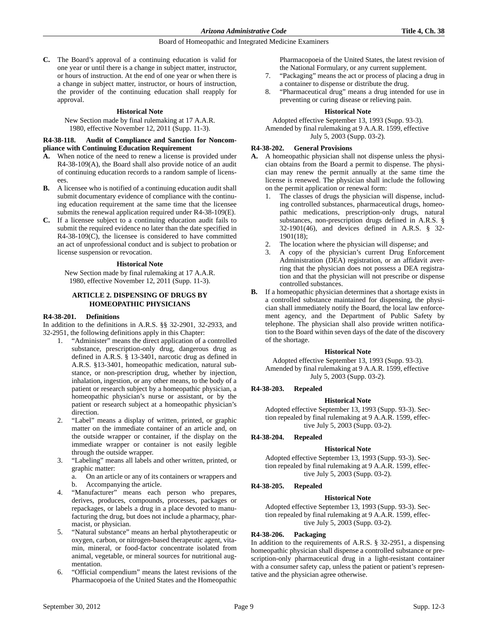**C.** The Board's approval of a continuing education is valid for one year or until there is a change in subject matter, instructor, or hours of instruction. At the end of one year or when there is a change in subject matter, instructor, or hours of instruction, the provider of the continuing education shall reapply for approval.

#### **Historical Note**

New Section made by final rulemaking at 17 A.A.R. 1980, effective November 12, 2011 (Supp. 11-3).

#### **R4-38-118. Audit of Compliance and Sanction for Noncompliance with Continuing Education Requirement**

- **A.** When notice of the need to renew a license is provided under R4-38-109(A), the Board shall also provide notice of an audit of continuing education records to a random sample of licensees.
- **B.** A licensee who is notified of a continuing education audit shall submit documentary evidence of compliance with the continuing education requirement at the same time that the licensee submits the renewal application required under R4-38-109(E).
- **C.** If a licensee subject to a continuing education audit fails to submit the required evidence no later than the date specified in R4-38-109(C), the licensee is considered to have committed an act of unprofessional conduct and is subject to probation or license suspension or revocation.

#### **Historical Note**

New Section made by final rulemaking at 17 A.A.R. 1980, effective November 12, 2011 (Supp. 11-3).

## **ARTICLE 2. DISPENSING OF DRUGS BY HOMEOPATHIC PHYSICIANS**

#### **R4-38-201. Definitions**

In addition to the definitions in A.R.S. §§ 32-2901, 32-2933, and 32-2951, the following definitions apply in this Chapter:

- 1. "Administer" means the direct application of a controlled substance, prescription-only drug, dangerous drug as defined in A.R.S. § 13-3401, narcotic drug as defined in A.R.S. §13-3401, homeopathic medication, natural substance, or non-prescription drug, whether by injection, inhalation, ingestion, or any other means, to the body of a patient or research subject by a homeopathic physician, a homeopathic physician's nurse or assistant, or by the patient or research subject at a homeopathic physician's direction.
- 2. "Label" means a display of written, printed, or graphic matter on the immediate container of an article and, on the outside wrapper or container, if the display on the immediate wrapper or container is not easily legible through the outside wrapper.
- 3. "Labeling" means all labels and other written, printed, or graphic matter:
	- a. On an article or any of its containers or wrappers and b. Accompanying the article.
	-
- "Manufacturer" means each person who prepares, derives, produces, compounds, processes, packages or repackages, or labels a drug in a place devoted to manufacturing the drug, but does not include a pharmacy, pharmacist, or physician.
- 5. "Natural substance" means an herbal phytotherapeutic or oxygen, carbon, or nitrogen-based therapeutic agent, vitamin, mineral, or food-factor concentrate isolated from animal, vegetable, or mineral sources for nutritional augmentation.
- 6. "Official compendium" means the latest revisions of the Pharmacopoeia of the United States and the Homeopathic

Pharmacopoeia of the United States, the latest revision of the National Formulary, or any current supplement.

- 7. "Packaging" means the act or process of placing a drug in a container to dispense or distribute the drug.
- 8. "Pharmaceutical drug" means a drug intended for use in preventing or curing disease or relieving pain.

#### **Historical Note**

Adopted effective September 13, 1993 (Supp. 93-3). Amended by final rulemaking at 9 A.A.R. 1599, effective July 5, 2003 (Supp. 03-2).

## **R4-38-202. General Provisions**

- **A.** A homeopathic physician shall not dispense unless the physician obtains from the Board a permit to dispense. The physician may renew the permit annually at the same time the license is renewed. The physician shall include the following on the permit application or renewal form:
	- 1. The classes of drugs the physician will dispense, including controlled substances, pharmaceutical drugs, homeopathic medications, prescription-only drugs, natural substances, non-prescription drugs defined in A.R.S. § 32-1901(46), and devices defined in A.R.S. § 32- 1901(18);
	-
	- 2. The location where the physician will dispense; and 3. A copy of the physician's current Drug Enforce 3. A copy of the physician's current Drug Enforcement Administration (DEA) registration, or an affidavit averring that the physician does not possess a DEA registration and that the physician will not prescribe or dispense controlled substances.
- **B.** If a homeopathic physician determines that a shortage exists in a controlled substance maintained for dispensing, the physician shall immediately notify the Board, the local law enforcement agency, and the Department of Public Safety by telephone. The physician shall also provide written notification to the Board within seven days of the date of the discovery of the shortage.

#### **Historical Note**

Adopted effective September 13, 1993 (Supp. 93-3). Amended by final rulemaking at 9 A.A.R. 1599, effective July 5, 2003 (Supp. 03-2).

#### **R4-38-203. Repealed**

#### **Historical Note**

Adopted effective September 13, 1993 (Supp. 93-3). Section repealed by final rulemaking at 9 A.A.R. 1599, effective July 5, 2003 (Supp. 03-2).

#### **R4-38-204. Repealed**

#### **Historical Note**

Adopted effective September 13, 1993 (Supp. 93-3). Section repealed by final rulemaking at 9 A.A.R. 1599, effective July 5, 2003 (Supp. 03-2).

#### **R4-38-205. Repealed**

#### **Historical Note**

Adopted effective September 13, 1993 (Supp. 93-3). Section repealed by final rulemaking at 9 A.A.R. 1599, effective July 5, 2003 (Supp. 03-2).

#### **R4-38-206. Packaging**

In addition to the requirements of A.R.S. § 32-2951, a dispensing homeopathic physician shall dispense a controlled substance or prescription-only pharmaceutical drug in a light-resistant container with a consumer safety cap, unless the patient or patient's representative and the physician agree otherwise.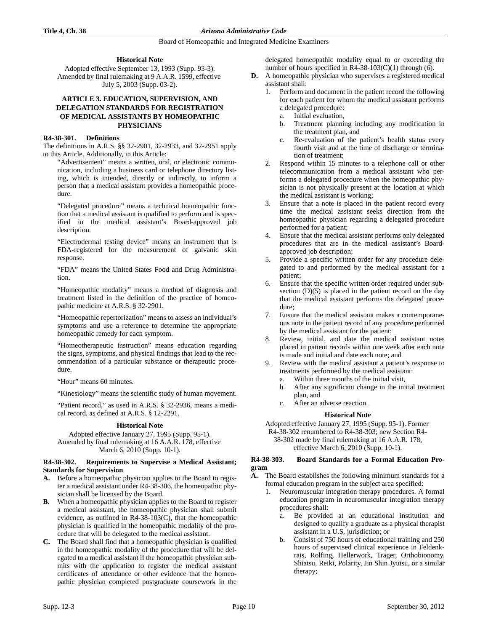#### **Historical Note**

Adopted effective September 13, 1993 (Supp. 93-3). Amended by final rulemaking at 9 A.A.R. 1599, effective July 5, 2003 (Supp. 03-2).

## **ARTICLE 3. EDUCATION, SUPERVISION, AND DELEGATION STANDARDS FOR REGISTRATION OF MEDICAL ASSISTANTS BY HOMEOPATHIC PHYSICIANS**

### **R4-38-301. Definitions**

The definitions in A.R.S. §§ 32-2901, 32-2933, and 32-2951 apply to this Article. Additionally, in this Article:

"Advertisement" means a written, oral, or electronic communication, including a business card or telephone directory listing, which is intended, directly or indirectly, to inform a person that a medical assistant provides a homeopathic procedure.

"Delegated procedure" means a technical homeopathic function that a medical assistant is qualified to perform and is specified in the medical assistant's Board-approved job description.

"Electrodermal testing device" means an instrument that is FDA-registered for the measurement of galvanic skin response.

"FDA" means the United States Food and Drug Administration.

"Homeopathic modality" means a method of diagnosis and treatment listed in the definition of the practice of homeopathic medicine at A.R.S. § 32-2901.

"Homeopathic repertorization" means to assess an individual's symptoms and use a reference to determine the appropriate homeopathic remedy for each symptom.

"Homeotherapeutic instruction" means education regarding the signs, symptoms, and physical findings that lead to the recommendation of a particular substance or therapeutic procedure.

"Hour" means 60 minutes.

"Kinesiology" means the scientific study of human movement.

"Patient record," as used in A.R.S. § 32-2936, means a medical record, as defined at A.R.S. § 12-2291.

## **Historical Note**

Adopted effective January 27, 1995 (Supp. 95-1). Amended by final rulemaking at 16 A.A.R. 178, effective March 6, 2010 (Supp. 10-1).

#### **R4-38-302. Requirements to Supervise a Medical Assistant; Standards for Supervision**

- **A.** Before a homeopathic physician applies to the Board to register a medical assistant under R4-38-306, the homeopathic physician shall be licensed by the Board.
- **B.** When a homeopathic physician applies to the Board to register a medical assistant, the homeopathic physician shall submit evidence, as outlined in R4-38-103(C), that the homeopathic physician is qualified in the homeopathic modality of the procedure that will be delegated to the medical assistant.
- **C.** The Board shall find that a homeopathic physician is qualified in the homeopathic modality of the procedure that will be delegated to a medical assistant if the homeopathic physician submits with the application to register the medical assistant certificates of attendance or other evidence that the homeopathic physician completed postgraduate coursework in the

delegated homeopathic modality equal to or exceeding the number of hours specified in R4-38-103(C)(1) through (6).

- **D.** A homeopathic physician who supervises a registered medical assistant shall:
	- 1. Perform and document in the patient record the following for each patient for whom the medical assistant performs a delegated procedure: a. Initial evaluation,
		- b. Treatment planning including any modification in
		- the treatment plan, and c. Re-evaluation of the patient's health status every fourth visit and at the time of discharge or termination of treatment;
	- 2. Respond within 15 minutes to a telephone call or other telecommunication from a medical assistant who performs a delegated procedure when the homeopathic physician is not physically present at the location at which the medical assistant is working;
	- 3. Ensure that a note is placed in the patient record every time the medical assistant seeks direction from the homeopathic physician regarding a delegated procedure performed for a patient;
	- Ensure that the medical assistant performs only delegated procedures that are in the medical assistant's Boardapproved job description;
	- 5. Provide a specific written order for any procedure delegated to and performed by the medical assistant for a patient;
	- 6. Ensure that the specific written order required under subsection (D)(5) is placed in the patient record on the day that the medical assistant performs the delegated procedure;
	- Ensure that the medical assistant makes a contemporaneous note in the patient record of any procedure performed by the medical assistant for the patient;
	- 8. Review, initial, and date the medical assistant notes placed in patient records within one week after each note is made and initial and date each note; and
	- 9. Review with the medical assistant a patient's response to treatments performed by the medical assistant:
		- a. Within three months of the initial visit, b. After any significant change in the initial treatment
		- plan, and c. After an adverse reaction.

## **Historical Note**

Adopted effective January 27, 1995 (Supp. 95-1). Former R4-38-302 renumbered to R4-38-303; new Section R4-

38-302 made by final rulemaking at 16 A.A.R. 178, effective March 6, 2010 (Supp. 10-1).

#### **R4-38-303. Board Standards for a Formal Education Program**

- **A.** The Board establishes the following minimum standards for a formal education program in the subject area specified:
	- 1. Neuromuscular integration therapy procedures. A formal education program in neuromuscular integration therapy procedures shall:
		- a. Be provided at an educational institution and designed to qualify a graduate as a physical therapist assistant in a U.S. jurisdiction; or
		- b. Consist of 750 hours of educational training and 250 hours of supervised clinical experience in Feldenkrais, Rolfing, Hellerwork, Trager, Orthobionomy, Shiatsu, Reiki, Polarity, Jin Shin Jyutsu, or a similar therapy;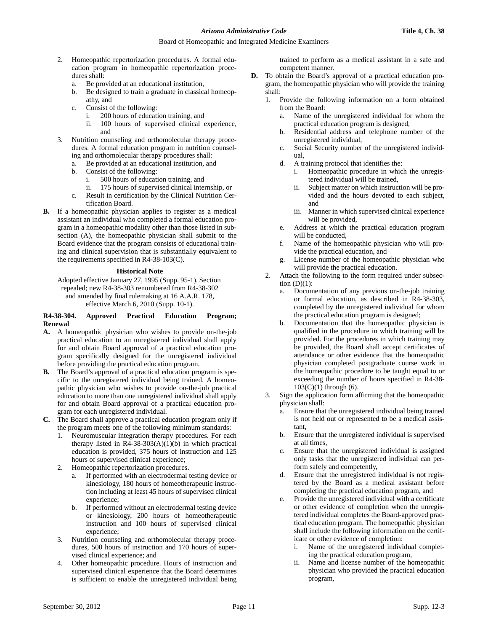- 2. Homeopathic repertorization procedures. A formal education program in homeopathic repertorization procedures shall:
	- a. Be provided at an educational institution,
	- b. Be designed to train a graduate in classical homeopathy, and
	- c. Consist of the following:
		- i. 200 hours of education training, and
		- ii. 100 hours of supervised clinical experience, and
- 3. Nutrition counseling and orthomolecular therapy procedures. A formal education program in nutrition counseling and orthomolecular therapy procedures shall:
	- a. Be provided at an educational institution, and
	- b. Consist of the following:
		- i. 500 hours of education training, and
		- ii. 175 hours of supervised clinical internship, or
	- c. Result in certification by the Clinical Nutrition Certification Board.
- **B.** If a homeopathic physician applies to register as a medical assistant an individual who completed a formal education program in a homeopathic modality other than those listed in subsection (A), the homeopathic physician shall submit to the Board evidence that the program consists of educational training and clinical supervision that is substantially equivalent to the requirements specified in R4-38-103(C).

## **Historical Note**

Adopted effective January 27, 1995 (Supp. 95-1). Section repealed; new R4-38-303 renumbered from R4-38-302 and amended by final rulemaking at 16 A.A.R. 178, effective March 6, 2010 (Supp. 10-1).

#### **R4-38-304. Approved Practical Education Program; Renewal**

- **A.** A homeopathic physician who wishes to provide on-the-job practical education to an unregistered individual shall apply for and obtain Board approval of a practical education program specifically designed for the unregistered individual before providing the practical education program.
- **B.** The Board's approval of a practical education program is specific to the unregistered individual being trained. A homeopathic physician who wishes to provide on-the-job practical education to more than one unregistered individual shall apply for and obtain Board approval of a practical education program for each unregistered individual.
- **C.** The Board shall approve a practical education program only if the program meets one of the following minimum standards:
	- Neuromuscular integration therapy procedures. For each therapy listed in  $R4-38-303(A)(1)(b)$  in which practical education is provided, 375 hours of instruction and 125 hours of supervised clinical experience;
	- 2. Homeopathic repertorization procedures.
		- a. If performed with an electrodermal testing device or kinesiology, 180 hours of homeotherapeutic instruction including at least 45 hours of supervised clinical experience;
		- b. If performed without an electrodermal testing device or kinesiology, 200 hours of homeotherapeutic instruction and 100 hours of supervised clinical experience;
	- 3. Nutrition counseling and orthomolecular therapy procedures, 500 hours of instruction and 170 hours of supervised clinical experience; and
	- 4. Other homeopathic procedure. Hours of instruction and supervised clinical experience that the Board determines is sufficient to enable the unregistered individual being

trained to perform as a medical assistant in a safe and competent manner.

- **D.** To obtain the Board's approval of a practical education program, the homeopathic physician who will provide the training shall:
	- 1. Provide the following information on a form obtained from the Board:
		- a. Name of the unregistered individual for whom the practical education program is designed,
		- b. Residential address and telephone number of the unregistered individual,
		- c. Social Security number of the unregistered individual,
		- d. A training protocol that identifies the:
			- i. Homeopathic procedure in which the unregistered individual will be trained,
			- ii. Subject matter on which instruction will be provided and the hours devoted to each subject, and
			- iii. Manner in which supervised clinical experience will be provided,
		- e. Address at which the practical education program will be conducted,
		- f. Name of the homeopathic physician who will provide the practical education, and
		- g. License number of the homeopathic physician who will provide the practical education.
	- 2. Attach the following to the form required under subsection  $(D)(1)$ :
		- a. Documentation of any previous on-the-job training or formal education, as described in R4-38-303, completed by the unregistered individual for whom the practical education program is designed;
		- b. Documentation that the homeopathic physician is qualified in the procedure in which training will be provided. For the procedures in which training may be provided, the Board shall accept certificates of attendance or other evidence that the homeopathic physician completed postgraduate course work in the homeopathic procedure to be taught equal to or exceeding the number of hours specified in R4-38-  $103(C)(1)$  through  $(6)$ .
	- 3. Sign the application form affirming that the homeopathic physician shall:
		- a. Ensure that the unregistered individual being trained is not held out or represented to be a medical assistant,
		- b. Ensure that the unregistered individual is supervised at all times,
		- c. Ensure that the unregistered individual is assigned only tasks that the unregistered individual can perform safely and competently,
		- d. Ensure that the unregistered individual is not registered by the Board as a medical assistant before completing the practical education program, and
		- Provide the unregistered individual with a certificate or other evidence of completion when the unregistered individual completes the Board-approved practical education program. The homeopathic physician shall include the following information on the certificate or other evidence of completion:
			- i. Name of the unregistered individual completing the practical education program,
			- ii. Name and license number of the homeopathic physician who provided the practical education program,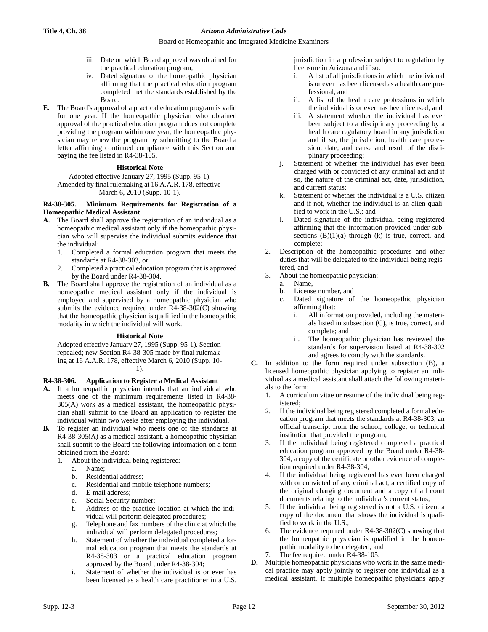#### **Title 4, Ch. 38** *Arizona Administrative Code*

#### Board of Homeopathic and Integrated Medicine Examiners

- iii. Date on which Board approval was obtained for the practical education program,
- iv. Dated signature of the homeopathic physician affirming that the practical education program completed met the standards established by the Board.
- **E.** The Board's approval of a practical education program is valid for one year. If the homeopathic physician who obtained approval of the practical education program does not complete providing the program within one year, the homeopathic physician may renew the program by submitting to the Board a letter affirming continued compliance with this Section and paying the fee listed in R4-38-105.

## **Historical Note**

Adopted effective January 27, 1995 (Supp. 95-1). Amended by final rulemaking at 16 A.A.R. 178, effective March 6, 2010 (Supp. 10-1).

## **R4-38-305. Minimum Requirements for Registration of a Homeopathic Medical Assistant**

- **A.** The Board shall approve the registration of an individual as a homeopathic medical assistant only if the homeopathic physician who will supervise the individual submits evidence that the individual:
	- 1. Completed a formal education program that meets the standards at R4-38-303, or
	- 2. Completed a practical education program that is approved by the Board under R4-38-304.
- **B.** The Board shall approve the registration of an individual as a homeopathic medical assistant only if the individual is employed and supervised by a homeopathic physician who submits the evidence required under R4-38-302(C) showing that the homeopathic physician is qualified in the homeopathic modality in which the individual will work.

#### **Historical Note**

Adopted effective January 27, 1995 (Supp. 95-1). Section repealed; new Section R4-38-305 made by final rulemaking at 16 A.A.R. 178, effective March 6, 2010 (Supp. 10-



# **R4-38-306. Application to Register a Medical Assistant**

- **A.** If a homeopathic physician intends that an individual who meets one of the minimum requirements listed in R4-38- 305(A) work as a medical assistant, the homeopathic physician shall submit to the Board an application to register the individual within two weeks after employing the individual.
- **B.** To register an individual who meets one of the standards at R4-38-305(A) as a medical assistant, a homeopathic physician shall submit to the Board the following information on a form obtained from the Board:
	- 1. About the individual being registered:
		- a. Name;
		- b. Residential address;
		- c. Residential and mobile telephone numbers;
		- d. E-mail address;
		- e. Social Security number;
		- f. Address of the practice location at which the individual will perform delegated procedures;
		- g. Telephone and fax numbers of the clinic at which the individual will perform delegated procedures;
		- h. Statement of whether the individual completed a formal education program that meets the standards at R4-38-303 or a practical education program approved by the Board under R4-38-304;
		- i. Statement of whether the individual is or ever has been licensed as a health care practitioner in a U.S.

jurisdiction in a profession subject to regulation by licensure in Arizona and if so:

- i. A list of all jurisdictions in which the individual is or ever has been licensed as a health care professional, and
- ii. A list of the health care professions in which the individual is or ever has been licensed; and
- iii. A statement whether the individual has ever been subject to a disciplinary proceeding by a health care regulatory board in any jurisdiction and if so, the jurisdiction, health care profession, date, and cause and result of the disciplinary proceeding:
- j. Statement of whether the individual has ever been charged with or convicted of any criminal act and if so, the nature of the criminal act, date, jurisdiction, and current status;
- Statement of whether the individual is a U.S. citizen and if not, whether the individual is an alien qualified to work in the U.S.; and
- l. Dated signature of the individual being registered affirming that the information provided under subsections  $(B)(1)(a)$  through  $(k)$  is true, correct, and complete;
- 2. Description of the homeopathic procedures and other duties that will be delegated to the individual being registered, and
- 3. About the homeopathic physician:
	- a. Name,
		- b. License number, and
		- c. Dated signature of the homeopathic physician affirming that:
			- All information provided, including the materials listed in subsection (C), is true, correct, and complete; and
			- ii. The homeopathic physician has reviewed the standards for supervision listed at R4-38-302 and agrees to comply with the standards.
- **C.** In addition to the form required under subsection (B), a licensed homeopathic physician applying to register an individual as a medical assistant shall attach the following materials to the form:
	- 1. A curriculum vitae or resume of the individual being registered;
	- 2. If the individual being registered completed a formal education program that meets the standards at R4-38-303, an official transcript from the school, college, or technical institution that provided the program;
	- 3. If the individual being registered completed a practical education program approved by the Board under R4-38- 304, a copy of the certificate or other evidence of completion required under R4-38-304;
	- 4. If the individual being registered has ever been charged with or convicted of any criminal act, a certified copy of the original charging document and a copy of all court documents relating to the individual's current status;
	- 5. If the individual being registered is not a U.S. citizen, a copy of the document that shows the individual is qualified to work in the U.S.;
	- 6. The evidence required under R4-38-302(C) showing that the homeopathic physician is qualified in the homeopathic modality to be delegated; and
	- The fee required under R4-38-105.
- **D.** Multiple homeopathic physicians who work in the same medical practice may apply jointly to register one individual as a medical assistant. If multiple homeopathic physicians apply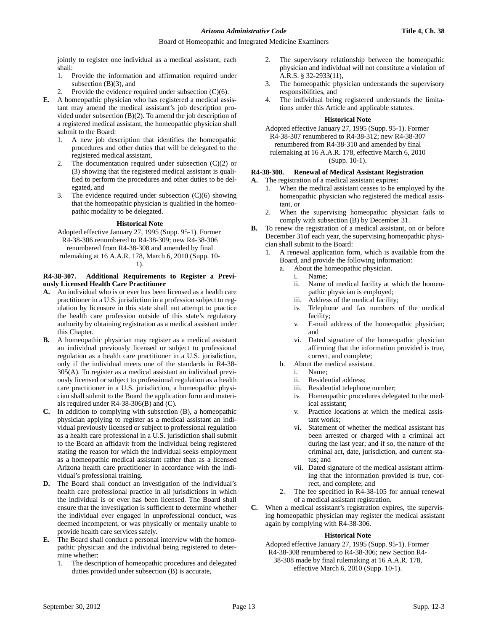jointly to register one individual as a medical assistant, each shall:

- 1. Provide the information and affirmation required under subsection (B)(3), and
- Provide the evidence required under subsection  $(C)(6)$ .
- **E.** A homeopathic physician who has registered a medical assistant may amend the medical assistant's job description provided under subsection (B)(2). To amend the job description of a registered medical assistant, the homeopathic physician shall submit to the Board:
	- 1. A new job description that identifies the homeopathic procedures and other duties that will be delegated to the registered medical assistant,
	- 2. The documentation required under subsection  $(C)(2)$  or (3) showing that the registered medical assistant is qualified to perform the procedures and other duties to be delegated, and
	- The evidence required under subsection  $(C)(6)$  showing that the homeopathic physician is qualified in the homeopathic modality to be delegated.

#### **Historical Note**

Adopted effective January 27, 1995 (Supp. 95-1). Former R4-38-306 renumbered to R4-38-309; new R4-38-306 renumbered from R4-38-308 and amended by final rulemaking at 16 A.A.R. 178, March 6, 2010 (Supp. 10- 1).

# **R4-38-307. Additional Requirements to Register a Previously Licensed Health Care Practitioner**

- **A.** An individual who is or ever has been licensed as a health care practitioner in a U.S. jurisdiction in a profession subject to regulation by licensure in this state shall not attempt to practice the health care profession outside of this state's regulatory authority by obtaining registration as a medical assistant under this Chapter.
- **B.** A homeopathic physician may register as a medical assistant an individual previously licensed or subject to professional regulation as a health care practitioner in a U.S. jurisdiction, only if the individual meets one of the standards in R4-38- 305(A). To register as a medical assistant an individual previously licensed or subject to professional regulation as a health care practitioner in a U.S. jurisdiction, a homeopathic physician shall submit to the Board the application form and materials required under R4-38-306(B) and (C).
- **C.** In addition to complying with subsection (B), a homeopathic physician applying to register as a medical assistant an individual previously licensed or subject to professional regulation as a health care professional in a U.S. jurisdiction shall submit to the Board an affidavit from the individual being registered stating the reason for which the individual seeks employment as a homeopathic medical assistant rather than as a licensed Arizona health care practitioner in accordance with the individual's professional training.
- **D.** The Board shall conduct an investigation of the individual's health care professional practice in all jurisdictions in which the individual is or ever has been licensed. The Board shall ensure that the investigation is sufficient to determine whether the individual ever engaged in unprofessional conduct, was deemed incompetent, or was physically or mentally unable to provide health care services safely.
- **E.** The Board shall conduct a personal interview with the homeopathic physician and the individual being registered to determine whether:
	- 1. The description of homeopathic procedures and delegated duties provided under subsection (B) is accurate,
- 2. The supervisory relationship between the homeopathic physician and individual will not constitute a violation of A.R.S. § 32-2933(11),
- 3. The homeopathic physician understands the supervisory responsibilities, and
- 4. The individual being registered understands the limitations under this Article and applicable statutes.

#### **Historical Note**

Adopted effective January 27, 1995 (Supp. 95-1). Former R4-38-307 renumbered to R4-38-312; new R4-38-307 renumbered from R4-38-310 and amended by final rulemaking at 16 A.A.R. 178, effective March 6, 2010 (Supp. 10-1).

## **R4-38-308. Renewal of Medical Assistant Registration**

- **A.** The registration of a medical assistant expires:
	- When the medical assistant ceases to be employed by the homeopathic physician who registered the medical assistant, or
	- 2. When the supervising homeopathic physician fails to comply with subsection (B) by December 31.
- **B.** To renew the registration of a medical assistant, on or before December 31of each year, the supervising homeopathic physician shall submit to the Board:
	- 1. A renewal application form, which is available from the Board, and provide the following information:
		- a. About the homeopathic physician.
			- i. Name;
			- ii. Name of medical facility at which the homeopathic physician is employed;
			- iii. Address of the medical facility;
			- iv. Telephone and fax numbers of the medical facility;
			- v. E-mail address of the homeopathic physician; and
			- vi. Dated signature of the homeopathic physician affirming that the information provided is true, correct, and complete;
		- b. About the medical assistant.
			- i. Name;
			- ii. Residential address;
			- iii. Residential telephone number;
			- iv. Homeopathic procedures delegated to the medical assistant;
			- v. Practice locations at which the medical assistant works;
			- vi. Statement of whether the medical assistant has been arrested or charged with a criminal act during the last year; and if so, the nature of the criminal act, date, jurisdiction, and current status; and
			- vii. Dated signature of the medical assistant affirming that the information provided is true, correct, and complete; and
		- 2. The fee specified in R4-38-105 for annual renewal of a medical assistant registration.
- **C.** When a medical assistant's registration expires, the supervising homeopathic physician may register the medical assistant again by complying with R4-38-306.

## **Historical Note**

Adopted effective January 27, 1995 (Supp. 95-1). Former R4-38-308 renumbered to R4-38-306; new Section R4-

38-308 made by final rulemaking at 16 A.A.R. 178, effective March 6, 2010 (Supp. 10-1).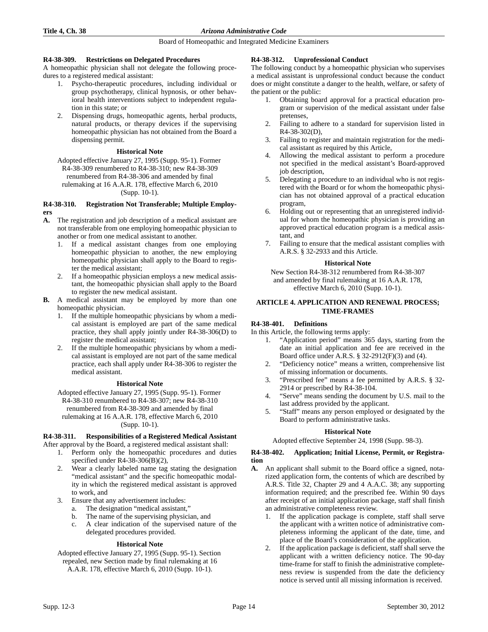## **R4-38-309. Restrictions on Delegated Procedures**

A homeopathic physician shall not delegate the following procedures to a registered medical assistant:

- 1. Psycho-therapeutic procedures, including individual or group psychotherapy, clinical hypnosis, or other behavioral health interventions subject to independent regulation in this state; or
- Dispensing drugs, homeopathic agents, herbal products, natural products, or therapy devices if the supervising homeopathic physician has not obtained from the Board a dispensing permit.

#### **Historical Note**

Adopted effective January 27, 1995 (Supp. 95-1). Former R4-38-309 renumbered to R4-38-310; new R4-38-309 renumbered from R4-38-306 and amended by final rulemaking at 16 A.A.R. 178, effective March 6, 2010 (Supp. 10-1).

#### **R4-38-310. Registration Not Transferable; Multiple Employers**

- **A.** The registration and job description of a medical assistant are not transferable from one employing homeopathic physician to another or from one medical assistant to another.
	- 1. If a medical assistant changes from one employing homeopathic physician to another, the new employing homeopathic physician shall apply to the Board to register the medical assistant;
	- 2. If a homeopathic physician employs a new medical assistant, the homeopathic physician shall apply to the Board to register the new medical assistant.
- **B.** A medical assistant may be employed by more than one homeopathic physician.
	- 1. If the multiple homeopathic physicians by whom a medical assistant is employed are part of the same medical practice, they shall apply jointly under R4-38-306(D) to register the medical assistant;
	- 2. If the multiple homeopathic physicians by whom a medical assistant is employed are not part of the same medical practice, each shall apply under R4-38-306 to register the medical assistant.

#### **Historical Note**

Adopted effective January 27, 1995 (Supp. 95-1). Former R4-38-310 renumbered to R4-38-307; new R4-38-310 renumbered from R4-38-309 and amended by final rulemaking at 16 A.A.R. 178, effective March 6, 2010 (Supp. 10-1).

#### **R4-38-311. Responsibilities of a Registered Medical Assistant**

- After approval by the Board, a registered medical assistant shall: 1. Perform only the homeopathic procedures and duties
	- specified under R4-38-306(B)(2), 2. Wear a clearly labeled name tag stating the designation
	- "medical assistant" and the specific homeopathic modality in which the registered medical assistant is approved to work, and
	- 3. Ensure that any advertisement includes:
		- a. The designation "medical assistant,"
		- b. The name of the supervising physician, and
		- c. A clear indication of the supervised nature of the delegated procedures provided.

## **Historical Note**

Adopted effective January 27, 1995 (Supp. 95-1). Section repealed, new Section made by final rulemaking at 16

A.A.R. 178, effective March 6, 2010 (Supp. 10-1).

## **R4-38-312. Unprofessional Conduct**

The following conduct by a homeopathic physician who supervises a medical assistant is unprofessional conduct because the conduct does or might constitute a danger to the health, welfare, or safety of the patient or the public:

- 1. Obtaining board approval for a practical education program or supervision of the medical assistant under false pretenses,
- Failing to adhere to a standard for supervision listed in R4-38-302(D),
- 3. Failing to register and maintain registration for the medical assistant as required by this Article,
- 4. Allowing the medical assistant to perform a procedure not specified in the medical assistant's Board-approved job description,
- 5. Delegating a procedure to an individual who is not registered with the Board or for whom the homeopathic physician has not obtained approval of a practical education program,
- 6. Holding out or representing that an unregistered individual for whom the homeopathic physician is providing an approved practical education program is a medical assistant, and
- 7. Failing to ensure that the medical assistant complies with A.R.S. § 32-2933 and this Article.

#### **Historical Note**

New Section R4-38-312 renumbered from R4-38-307 and amended by final rulemaking at 16 A.A.R. 178, effective March 6, 2010 (Supp. 10-1).

## **ARTICLE 4. APPLICATION AND RENEWAL PROCESS; TIME-FRAMES**

## **R4-38-401. Definitions**

In this Article, the following terms apply:

- 1. "Application period" means 365 days, starting from the date an initial application and fee are received in the Board office under A.R.S. § 32-2912(F)(3) and (4).
- 2. "Deficiency notice" means a written, comprehensive list of missing information or documents.
- 3. "Prescribed fee" means a fee permitted by A.R.S. § 32- 2914 or prescribed by R4-38-104.
- 4. "Serve" means sending the document by U.S. mail to the last address provided by the applicant.
- 5. "Staff" means any person employed or designated by the Board to perform administrative tasks.

#### **Historical Note**

Adopted effective September 24, 1998 (Supp. 98-3).

#### **R4-38-402. Application; Initial License, Permit, or Registration**

- **A.** An applicant shall submit to the Board office a signed, notarized application form, the contents of which are described by A.R.S. Title 32, Chapter 29 and 4 A.A.C. 38; any supporting information required; and the prescribed fee. Within 90 days after receipt of an initial application package, staff shall finish an administrative completeness review.
	- 1. If the application package is complete, staff shall serve the applicant with a written notice of administrative completeness informing the applicant of the date, time, and place of the Board's consideration of the application.
	- 2. If the application package is deficient, staff shall serve the applicant with a written deficiency notice. The 90-day time-frame for staff to finish the administrative completeness review is suspended from the date the deficiency notice is served until all missing information is received.